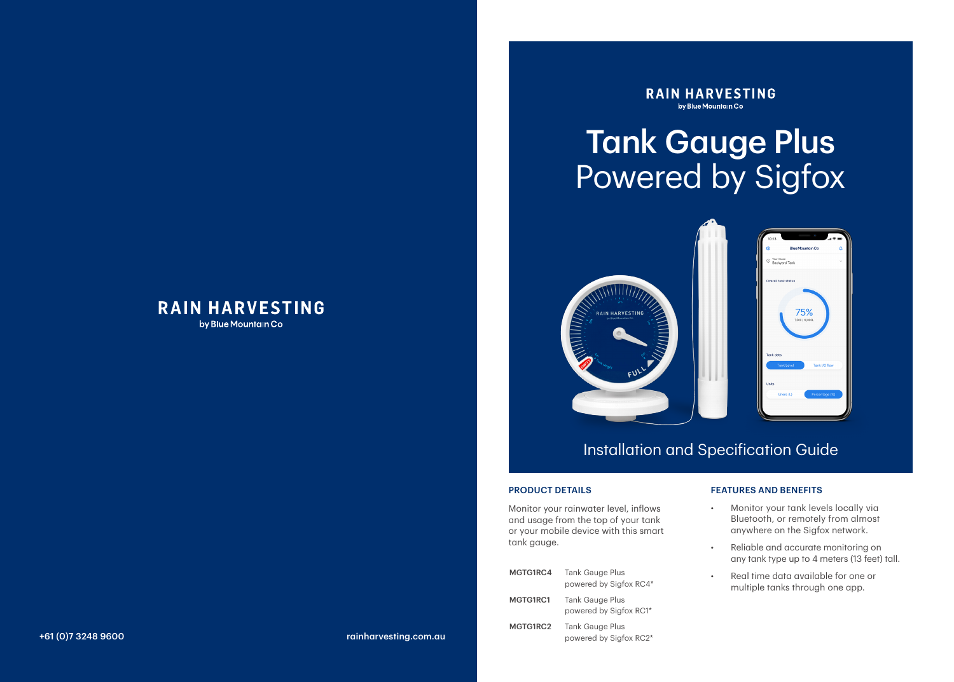### **RAIN HARVESTING** by Blue Mountain Co

**RAIN HARVESTING** by Blue Mountain Co

# Tank Gauge Plus Powered by Sigfox





## Installation and Specification Guide

#### PRODUCT DETAILS

Monitor your rainwater level, inflows and usage from the top of your tank or your mobile device with this smart tank gauge.

| MGTG1RC4 | <b>Tank Gauge Plus</b><br>powered by Sigfox RC4* |
|----------|--------------------------------------------------|
| MGTG1RC1 | <b>Tank Gauge Plus</b><br>powered by Sigfox RC1* |
| MGTG1RC2 | <b>Tank Gauge Plus</b><br>powered by Sigfox RC2* |

#### FEATURES AND BENEFITS

- Monitor your tank levels locally via Bluetooth, or remotely from almost anywhere on the Sigfox network.
- Reliable and accurate monitoring on any tank type up to 4 meters (13 feet) tall.
- Real time data available for one or multiple tanks through one app.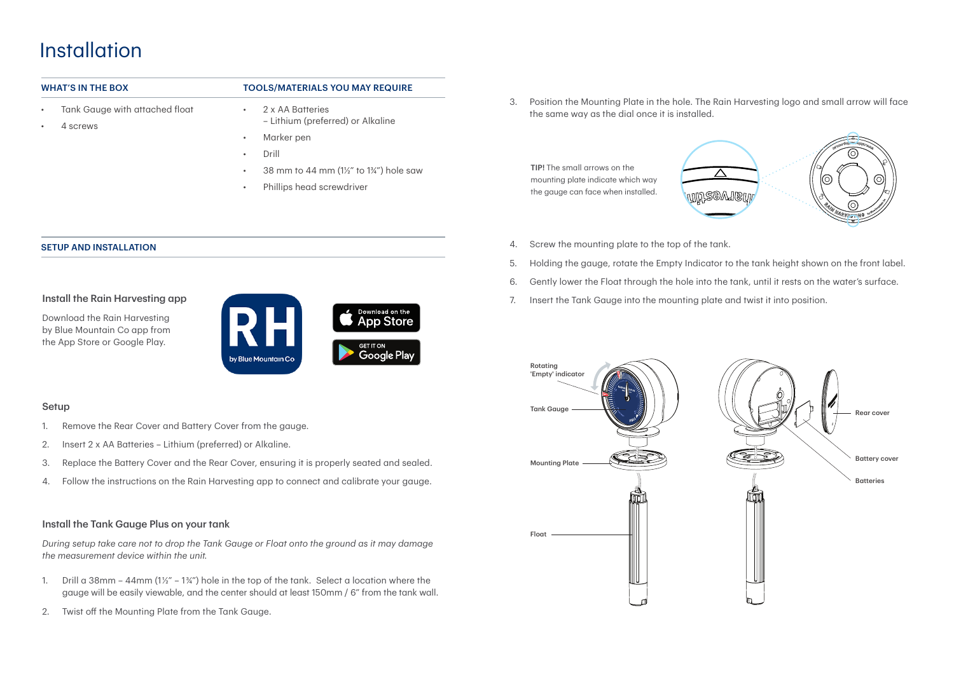## Installation

- Tank Gauge with attached float
- 4 screws

### WHAT'S IN THE BOX **TOOLS/MATERIALS YOU MAY REQUIRE**

- 2 x AA Batteries
	- Lithium (preferred) or Alkaline
- Marker pen
- Drill
- 38 mm to 44 mm (1½" to 1¾") hole saw
- Phillips head screwdriver

3. Position the Mounting Plate in the hole. The Rain Harvesting logo and small arrow will face the same way as the dial once it is installed.

TIP! The small arrows on the mounting plate indicate which way the gauge can face when installed.



- 4. Screw the mounting plate to the top of the tank.
- 5. Holding the gauge, rotate the Empty Indicator to the tank height shown on the front label.
- 6. Gently lower the Float through the hole into the tank, until it rests on the water's surface.
- 7. Insert the Tank Gauge into the mounting plate and twist it into position.



#### SETUP AND INSTALLATION

#### Install the Rain Harvesting app





#### Setup

- 1. Remove the Rear Cover and Battery Cover from the gauge.
- 2. Insert 2 x AA Batteries Lithium (preferred) or Alkaline.
- 3. Replace the Battery Cover and the Rear Cover, ensuring it is properly seated and sealed.
- 4. Follow the instructions on the Rain Harvesting app to connect and calibrate your gauge.

#### Install the Tank Gauge Plus on your tank

*During setup take care not to drop the Tank Gauge or Float onto the ground as it may damage the measurement device within the unit.*

- 1. Drill a 38mm 44mm  $(1\frac{1}{2}$ " 1 $\frac{3}{4}$ ") hole in the top of the tank. Select a location where the gauge will be easily viewable, and the center should at least 150mm / 6" from the tank wall.
- 2. Twist off the Mounting Plate from the Tank Gauge.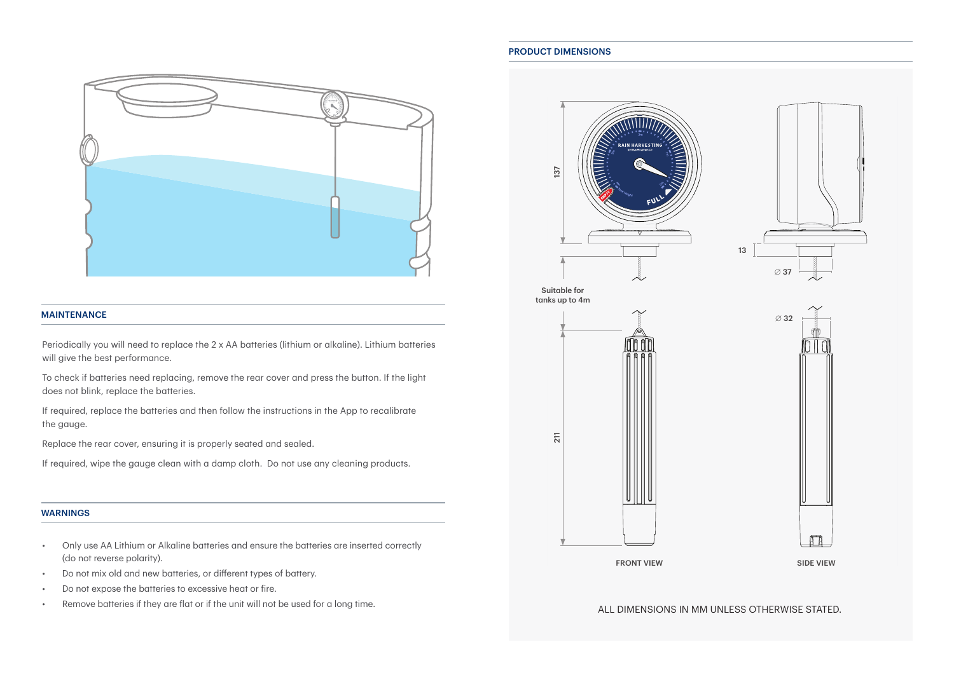

#### MAINTENANCE

Periodically you will need to replace the 2 x AA batteries (lithium or alkaline). Lithium batteries will give the best performance.

To check if batteries need replacing, remove the rear cover and press the button. If the light does not blink, replace the batteries.

If required, replace the batteries and then follow the instructions in the App to recalibrate the gauge.

Replace the rear cover, ensuring it is properly seated and sealed.

If required, wipe the gauge clean with a damp cloth. Do not use any cleaning products.

#### WARNINGS

- Only use AA Lithium or Alkaline batteries and ensure the batteries are inserted correctly (do not reverse polarity).
- Do not mix old and new batteries, or different types of battery.
- Do not expose the batteries to excessive heat or fire.
- Remove batteries if they are flat or if the unit will not be used for a long time.

#### PRODUCT DIMENSIONS



ALL DIMENSIONS IN MM UNLESS OTHERWISE STATED.